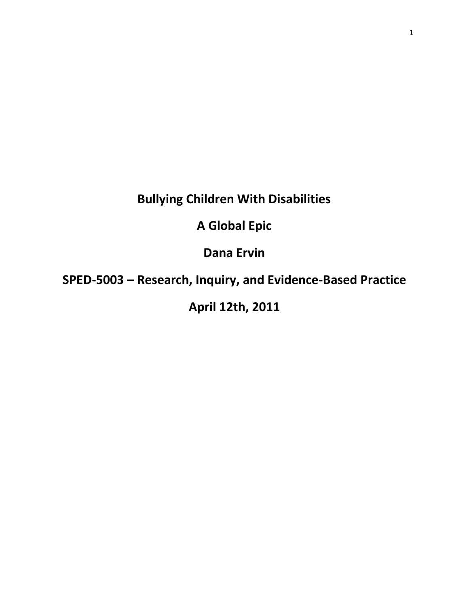# **Bullying Children With Disabilities**

## **A Global Epic**

**Dana Ervin**

**SPED-5003 – Research, Inquiry, and Evidence-Based Practice**

## **April 12th, 2011**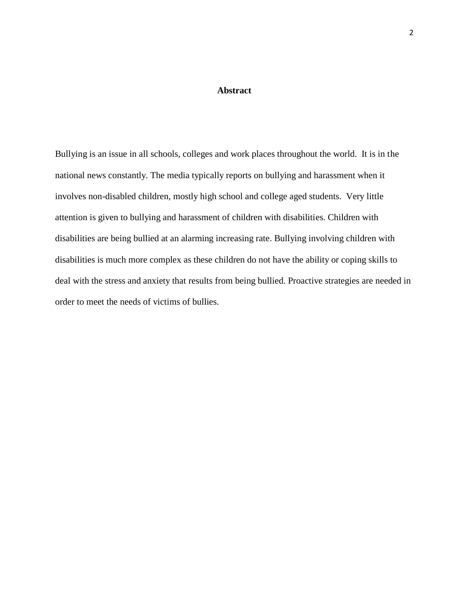#### **Abstract**

Bullying is an issue in all schools, colleges and work places throughout the world. It is in the national news constantly. The media typically reports on bullying and harassment when it involves non-disabled children, mostly high school and college aged students. Very little attention is given to bullying and harassment of children with disabilities. Children with disabilities are being bullied at an alarming increasing rate. Bullying involving children with disabilities is much more complex as these children do not have the ability or coping skills to deal with the stress and anxiety that results from being bullied. Proactive strategies are needed in order to meet the needs of victims of bullies.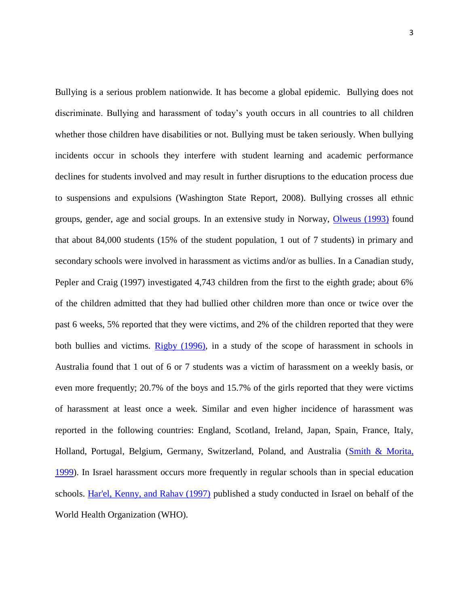Bullying is a serious problem nationwide. It has become a global epidemic. Bullying does not discriminate. Bullying and harassment of today's youth occurs in all countries to all children whether those children have disabilities or not. Bullying must be taken seriously. When bullying incidents occur in schools they interfere with student learning and academic performance declines for students involved and may result in further disruptions to the education process due to suspensions and expulsions (Washington State Report, 2008). Bullying crosses all ethnic groups, gender, age and social groups. In an extensive study in Norway, [Olweus \(1993\)](javascript:popRef2() found that about 84,000 students (15% of the student population, 1 out of 7 students) in primary and secondary schools were involved in harassment as victims and/or as bullies. In a Canadian study, Pepler and Craig (1997) investigated 4,743 children from the first to the eighth grade; about 6% of the children admitted that they had bullied other children more than once or twice over the past 6 weeks, 5% reported that they were victims, and 2% of the children reported that they were both bullies and victims. [Rigby \(1996\),](javascript:popRef2() in a study of the scope of harassment in schools in Australia found that 1 out of 6 or 7 students was a victim of harassment on a weekly basis, or even more frequently; 20.7% of the boys and 15.7% of the girls reported that they were victims of harassment at least once a week. Similar and even higher incidence of harassment was reported in the following countries: England, Scotland, Ireland, Japan, Spain, France, Italy, Holland, Portugal, Belgium, Germany, Switzerland, Poland, and Australia [\(Smith & Morita,](javascript:popRef2()  [1999\)](javascript:popRef2(). In Israel harassment occurs more frequently in regular schools than in special education schools. [Har'el, Kenny, and Rahav \(1997\)](javascript:popRef2() published a study conducted in Israel on behalf of the World Health Organization (WHO).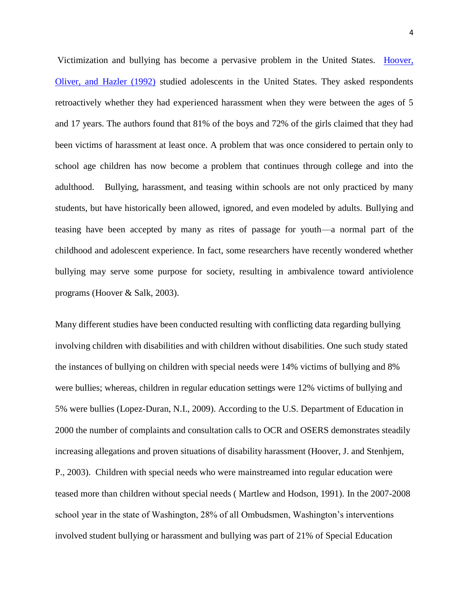Victimization and bullying has become a pervasive problem in the United States. Hoover, [Oliver, and Hazler \(1992\)](javascript:popRef2() studied adolescents in the United States. They asked respondents retroactively whether they had experienced harassment when they were between the ages of 5 and 17 years. The authors found that 81% of the boys and 72% of the girls claimed that they had been victims of harassment at least once. A problem that was once considered to pertain only to school age children has now become a problem that continues through college and into the adulthood. Bullying, harassment, and teasing within schools are not only practiced by many students, but have historically been allowed, ignored, and even modeled by adults. Bullying and teasing have been accepted by many as rites of passage for youth—a normal part of the childhood and adolescent experience. In fact, some researchers have recently wondered whether bullying may serve some purpose for society, resulting in ambivalence toward antiviolence programs (Hoover & Salk, 2003).

Many different studies have been conducted resulting with conflicting data regarding bullying involving children with disabilities and with children without disabilities. One such study stated the instances of bullying on children with special needs were 14% victims of bullying and 8% were bullies; whereas, children in regular education settings were 12% victims of bullying and 5% were bullies (Lopez-Duran, N.I., 2009). According to the U.S. Department of Education in 2000 the number of complaints and consultation calls to OCR and OSERS demonstrates steadily increasing allegations and proven situations of disability harassment (Hoover, J. and Stenhjem, P., 2003). Children with special needs who were mainstreamed into regular education were teased more than children without special needs ( Martlew and Hodson, 1991). In the 2007-2008 school year in the state of Washington, 28% of all Ombudsmen, Washington's interventions involved student bullying or harassment and bullying was part of 21% of Special Education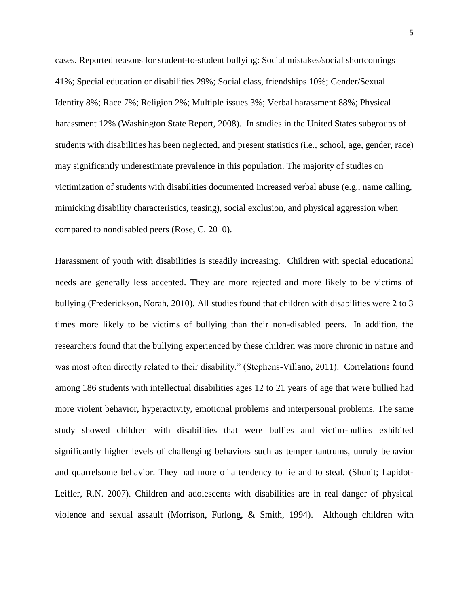cases. Reported reasons for student-to-student bullying: Social mistakes/social shortcomings 41%; Special education or disabilities 29%; Social class, friendships 10%; Gender/Sexual Identity 8%; Race 7%; Religion 2%; Multiple issues 3%; Verbal harassment 88%; Physical harassment 12% (Washington State Report, 2008). In studies in the United States subgroups of students with disabilities has been neglected, and present statistics (i.e., school, age, gender, race) may significantly underestimate prevalence in this population. The majority of studies on victimization of students with disabilities documented increased verbal abuse (e.g., name calling, mimicking disability characteristics, teasing), social exclusion, and physical aggression when compared to nondisabled peers (Rose, C. 2010).

Harassment of youth with disabilities is steadily increasing. Children with special educational needs are generally less accepted. They are more rejected and more likely to be victims of bullying (Frederickson, Norah, 2010). All studies found that children with disabilities were 2 to 3 times more likely to be victims of bullying than their non-disabled peers. In addition, the researchers found that the bullying experienced by these children was more chronic in nature and was most often directly related to their disability." (Stephens-Villano, 2011). Correlations found among 186 students with intellectual disabilities ages 12 to 21 years of age that were bullied had more violent behavior, hyperactivity, emotional problems and interpersonal problems. The same study showed children with disabilities that were bullies and victim-bullies exhibited significantly higher levels of challenging behaviors such as temper tantrums, unruly behavior and quarrelsome behavior. They had more of a tendency to lie and to steal. (Shunit; Lapidot-Leifler, R.N. 2007). Children and adolescents with disabilities are in real danger of physical violence and sexual assault (Morrison, Furlong, & Smith, 1994). Although children with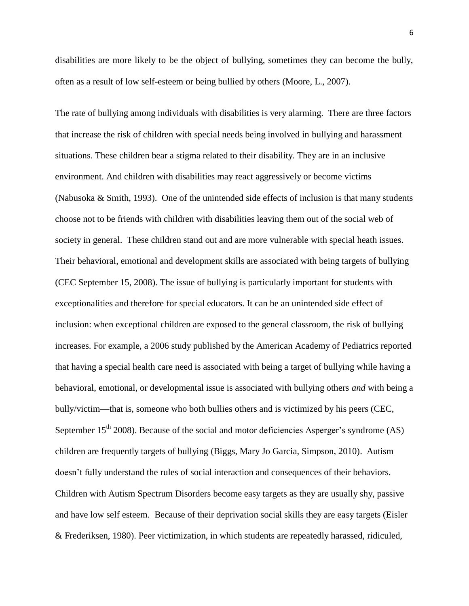disabilities are more likely to be the object of bullying, sometimes they can become the bully, often as a result of low self-esteem or being bullied by others (Moore, L., 2007).

The rate of bullying among individuals with disabilities is very alarming. There are three factors that increase the risk of children with special needs being involved in bullying and harassment situations. These children bear a stigma related to their disability. They are in an inclusive environment. And children with disabilities may react aggressively or become victims (Nabusoka & Smith, 1993). One of the unintended side effects of inclusion is that many students choose not to be friends with children with disabilities leaving them out of the social web of society in general. These children stand out and are more vulnerable with special heath issues. Their behavioral, emotional and development skills are associated with being targets of bullying (CEC September 15, 2008). The issue of bullying is particularly important for students with exceptionalities and therefore for special educators. It can be an unintended side effect of inclusion: when exceptional children are exposed to the general classroom, the risk of bullying increases. For example, a 2006 study published by the American Academy of Pediatrics reported that having a special health care need is associated with being a target of bullying while having a behavioral, emotional, or developmental issue is associated with bullying others *and* with being a bully/victim—that is, someone who both bullies others and is victimized by his peers (CEC, September  $15<sup>th</sup>$  2008). Because of the social and motor deficiencies Asperger's syndrome (AS) children are frequently targets of bullying (Biggs, Mary Jo Garcia, Simpson, 2010). Autism doesn't fully understand the rules of social interaction and consequences of their behaviors. Children with Autism Spectrum Disorders become easy targets as they are usually shy, passive and have low self esteem. Because of their deprivation social skills they are easy targets (Eisler & Frederiksen, 1980). Peer victimization, in which students are repeatedly harassed, ridiculed,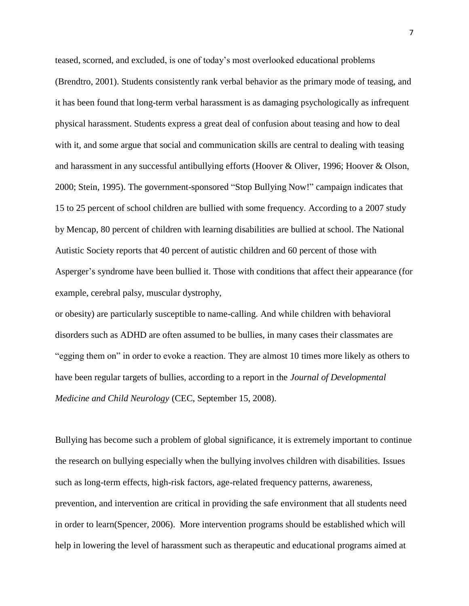teased, scorned, and excluded, is one of today's most overlooked educational problems (Brendtro, 2001). Students consistently rank verbal behavior as the primary mode of teasing, and it has been found that long-term verbal harassment is as damaging psychologically as infrequent physical harassment. Students express a great deal of confusion about teasing and how to deal with it, and some argue that social and communication skills are central to dealing with teasing and harassment in any successful antibullying efforts (Hoover & Oliver, 1996; Hoover & Olson, 2000; Stein, 1995). The government-sponsored "Stop Bullying Now!" campaign indicates that 15 to 25 percent of school children are bullied with some frequency. According to a 2007 study by Mencap, 80 percent of children with learning disabilities are bullied at school. The National Autistic Society reports that 40 percent of autistic children and 60 percent of those with Asperger's syndrome have been bullied it. Those with conditions that affect their appearance (for example, cerebral palsy, muscular dystrophy,

or obesity) are particularly susceptible to name-calling. And while children with behavioral disorders such as ADHD are often assumed to be bullies, in many cases their classmates are "egging them on" in order to evoke a reaction. They are almost 10 times more likely as others to have been regular targets of bullies, according to a report in the *Journal of Developmental Medicine and Child Neurology* (CEC, September 15, 2008).

Bullying has become such a problem of global significance, it is extremely important to continue the research on bullying especially when the bullying involves children with disabilities. Issues such as long-term effects, high-risk factors, age-related frequency patterns, awareness, prevention, and intervention are critical in providing the safe environment that all students need in order to learn(Spencer, 2006). More intervention programs should be established which will help in lowering the level of harassment such as therapeutic and educational programs aimed at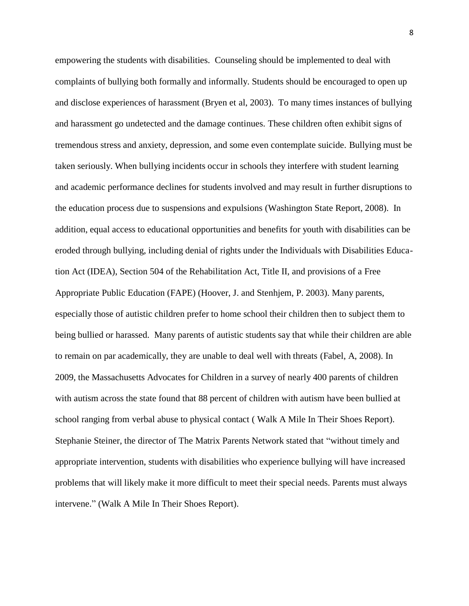empowering the students with disabilities. Counseling should be implemented to deal with complaints of bullying both formally and informally. Students should be encouraged to open up and disclose experiences of harassment (Bryen et al, 2003). To many times instances of bullying and harassment go undetected and the damage continues. These children often exhibit signs of tremendous stress and anxiety, depression, and some even contemplate suicide. Bullying must be taken seriously. When bullying incidents occur in schools they interfere with student learning and academic performance declines for students involved and may result in further disruptions to the education process due to suspensions and expulsions (Washington State Report, 2008). In addition, equal access to educational opportunities and benefits for youth with disabilities can be eroded through bullying, including denial of rights under the Individuals with Disabilities Education Act (IDEA), Section 504 of the Rehabilitation Act, Title II, and provisions of a Free Appropriate Public Education (FAPE) (Hoover, J. and Stenhjem, P. 2003). Many parents, especially those of autistic children prefer to home school their children then to subject them to being bullied or harassed. Many parents of autistic students say that while their children are able to remain on par academically, they are unable to deal well with threats (Fabel, A, 2008). In 2009, the Massachusetts Advocates for Children in a survey of nearly 400 parents of children with autism across the state found that 88 percent of children with autism have been bullied at school ranging from verbal abuse to physical contact ( Walk A Mile In Their Shoes Report). Stephanie Steiner, the director of The Matrix Parents Network stated that "without timely and appropriate intervention, students with disabilities who experience bullying will have increased problems that will likely make it more difficult to meet their special needs. Parents must always intervene." (Walk A Mile In Their Shoes Report).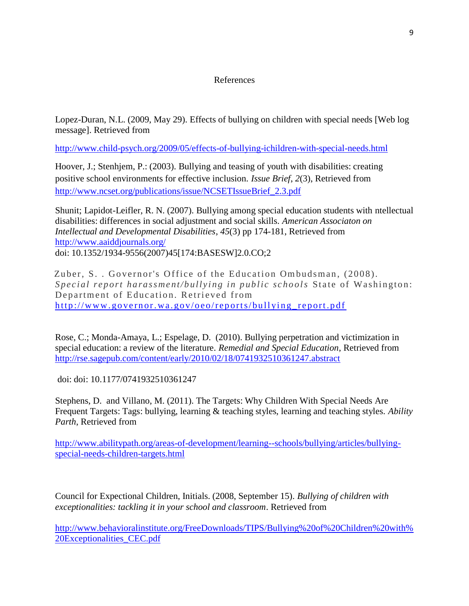#### References

Lopez-Duran, N.L. (2009, May 29). Effects of bullying on children with special needs [Web log message]. Retrieved from

<http://www.child-psych.org/2009/05/effects-of-bullying-ichildren-with-special-needs.html>

Hoover, J.; Stenhjem, P.: (2003). Bullying and teasing of youth with disabilities: creating positive school environments for effective inclusion. *Issue Brief*, *2*(3), Retrieved from [http://www.ncset.org/publications/issue/NCSETIssueBrief\\_2.3.pdf](http://www.ncset.org/publications/issue/NCSETIssueBrief_2.3.pdf)

Shunit; Lapidot-Leifler, R. N. (2007). Bullying among special education students with ntellectual disabilities: differences in social adjustment and social skills. *American Associaton on Intellectual and Developmental Disabilities*, *45*(3) pp 174-181, Retrieved from <http://www.aaiddjournals.org/> doi: 10.1352/1934-9556(2007)45[174:BASESW]2.0.CO;2

Zuber, S. . Governor's Office of the Education Ombudsman, (2008). *Special report haras sment/bullying in public schools State of Washington:* Department of Education. Retrieved from http://www.governor.wa.gov/oeo/reports/bullying\_report.pdf

Rose, C.; Monda-Amaya, L.; Espelage, D. (2010). Bullying perpetration and victimization in special education: a review of the literature. *Remedial and Special Education*, Retrieved from <http://rse.sagepub.com/content/early/2010/02/18/0741932510361247.abstract>

doi: doi: 10.1177/0741932510361247

Stephens, D. and Villano, M. (2011). The Targets: Why Children With Special Needs Are Frequent Targets: Tags: bullying, learning & teaching styles, learning and teaching styles. *Ability Parth*, Retrieved from

[http://www.abilitypath.org/areas-of-development/learning--schools/bullying/articles/bullying](http://www.abilitypath.org/areas-of-development/learning--schools/bullying/articles/bullying-special-needs-children-targets.html)[special-needs-children-targets.html](http://www.abilitypath.org/areas-of-development/learning--schools/bullying/articles/bullying-special-needs-children-targets.html)

Council for Expectional Children, Initials. (2008, September 15). *Bullying of children with exceptionalities: tackling it in your school and classroom*. Retrieved from

[http://www.behavioralinstitute.org/FreeDownloads/TIPS/Bullying%20of%20Children%20with%](http://www.behavioralinstitute.org/FreeDownloads/TIPS/Bullying%20of%20Children%20with%20Exceptionalities_CEC.pdf) [20Exceptionalities\\_CEC.pdf](http://www.behavioralinstitute.org/FreeDownloads/TIPS/Bullying%20of%20Children%20with%20Exceptionalities_CEC.pdf)